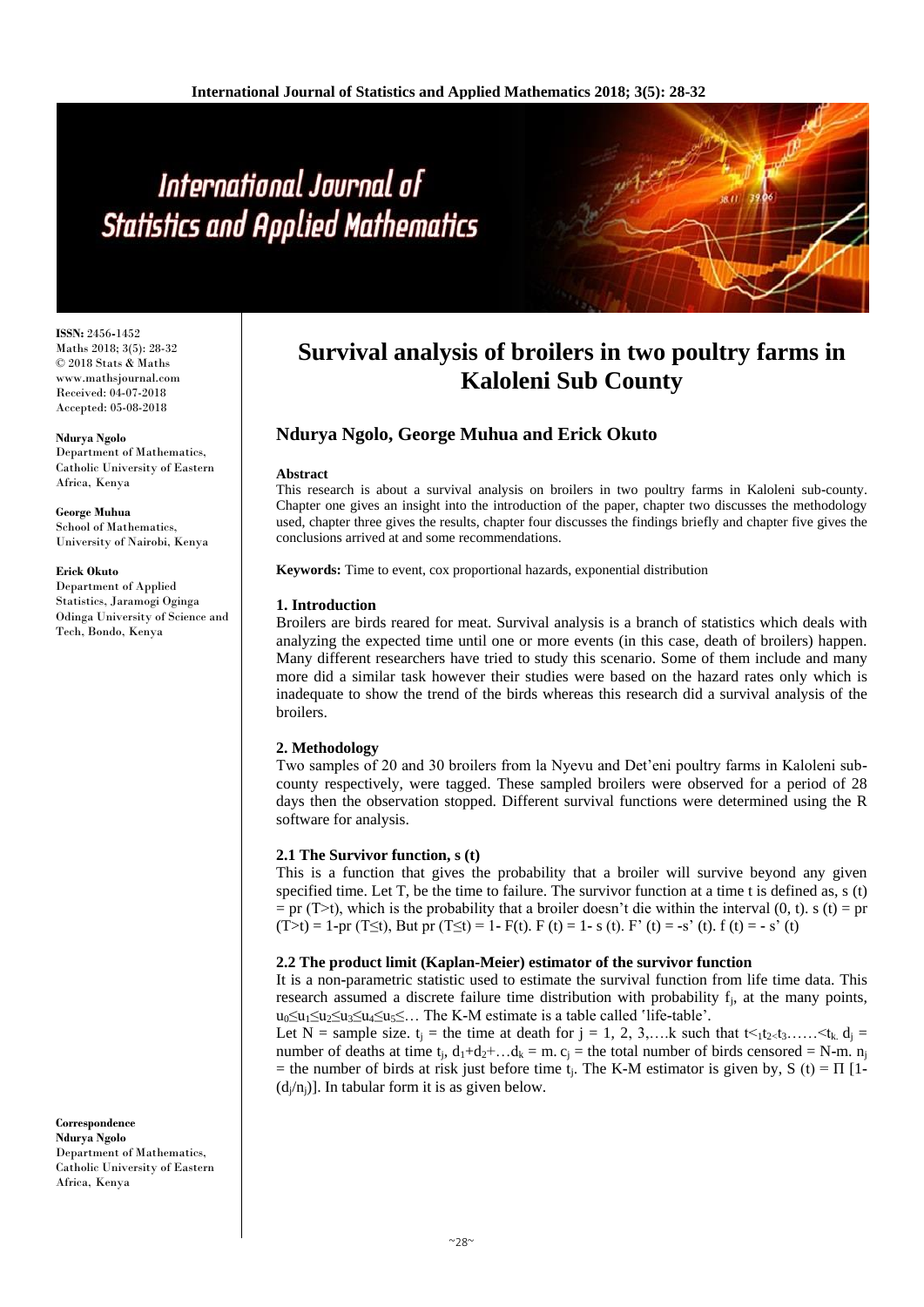# International Journal of **Statistics and Applied Mathematics**

**ISSN:** 2456**-**1452 Maths 2018; 3(5): 28-32 © 2018 Stats & Maths www.mathsjournal.com Received: 04-07-2018 Accepted: 05-08-2018

**Ndurya Ngolo** Department of Mathematics, Catholic University of Eastern Africa, Kenya

**George Muhua** School of Mathematics, University of Nairobi, Kenya

#### **Erick Okuto**

Department of Applied Statistics, Jaramogi Oginga Odinga University of Science and Tech, Bondo, Kenya

**Correspondence Ndurya Ngolo** Department of Mathematics, Catholic University of Eastern Africa, Kenya

# **Survival analysis of broilers in two poultry farms in Kaloleni Sub County**

# **Ndurya Ngolo, George Muhua and Erick Okuto**

#### **Abstract**

This research is about a survival analysis on broilers in two poultry farms in Kaloleni sub**-**county. Chapter one gives an insight into the introduction of the paper, chapter two discusses the methodology used, chapter three gives the results, chapter four discusses the findings briefly and chapter five gives the conclusions arrived at and some recommendations.

**Keywords:** Time to event, cox proportional hazards, exponential distribution

#### **1. Introduction**

Broilers are birds reared for meat. Survival analysis is a branch of statistics which deals with analyzing the expected time until one or more events (in this case, death of broilers) happen. Many different researchers have tried to study this scenario. Some of them include and many more did a similar task however their studies were based on the hazard rates only which is inadequate to show the trend of the birds whereas this research did a survival analysis of the broilers.

# **2. Methodology**

Two samples of 20 and 30 broilers from la Nyevu and Det'eni poultry farms in Kaloleni subcounty respectively, were tagged. These sampled broilers were observed for a period of 28 days then the observation stopped. Different survival functions were determined using the R software for analysis.

# **2.1 The Survivor function, s (t)**

This is a function that gives the probability that a broiler will survive beyond any given specified time. Let T, be the time to failure. The survivor function at a time t is defined as, s (t)  $=$  pr (T>t), which is the probability that a broiler doesn't die within the interval (0, t). s (t) = pr  $(T>t) = 1$ **-**pr  $(T \le t)$ , But pr  $(T \le t) = 1$ **-** F(t). F (t) = 1 **-** s (t). F' (t) = **-**s' (t). f (t) = **-** s' (t)

# **2.2 The product limit (Kaplan-Meier) estimator of the survivor function**

It is a non**-**parametric statistic used to estimate the survival function from life time data. This research assumed a discrete failure time distribution with probability  $f_i$ , at the many points, u0≤u1≤u2≤u3≤u4≤u5≤… The K**-**M estimate is a table called 'life**-**table'.

Let N = sample size.  $t_i$  = the time at death for  $j = 1, 2, 3, \ldots$  k such that  $t \leq t_1 t_2 \leq t_3 \ldots \leq t_k$ .  $d_i =$ number of deaths at time t<sub>i</sub>,  $d_1+d_2+\ldots d_k = m$ .  $c_i =$  the total number of birds censored = N-m. n<sub>i</sub>  $=$  the number of birds at risk just before time t<sub>i</sub>. The K-M estimator is given by, S (t) =  $\Pi$  [1- $(d_i/n_i)$ ]. In tabular form it is as given below.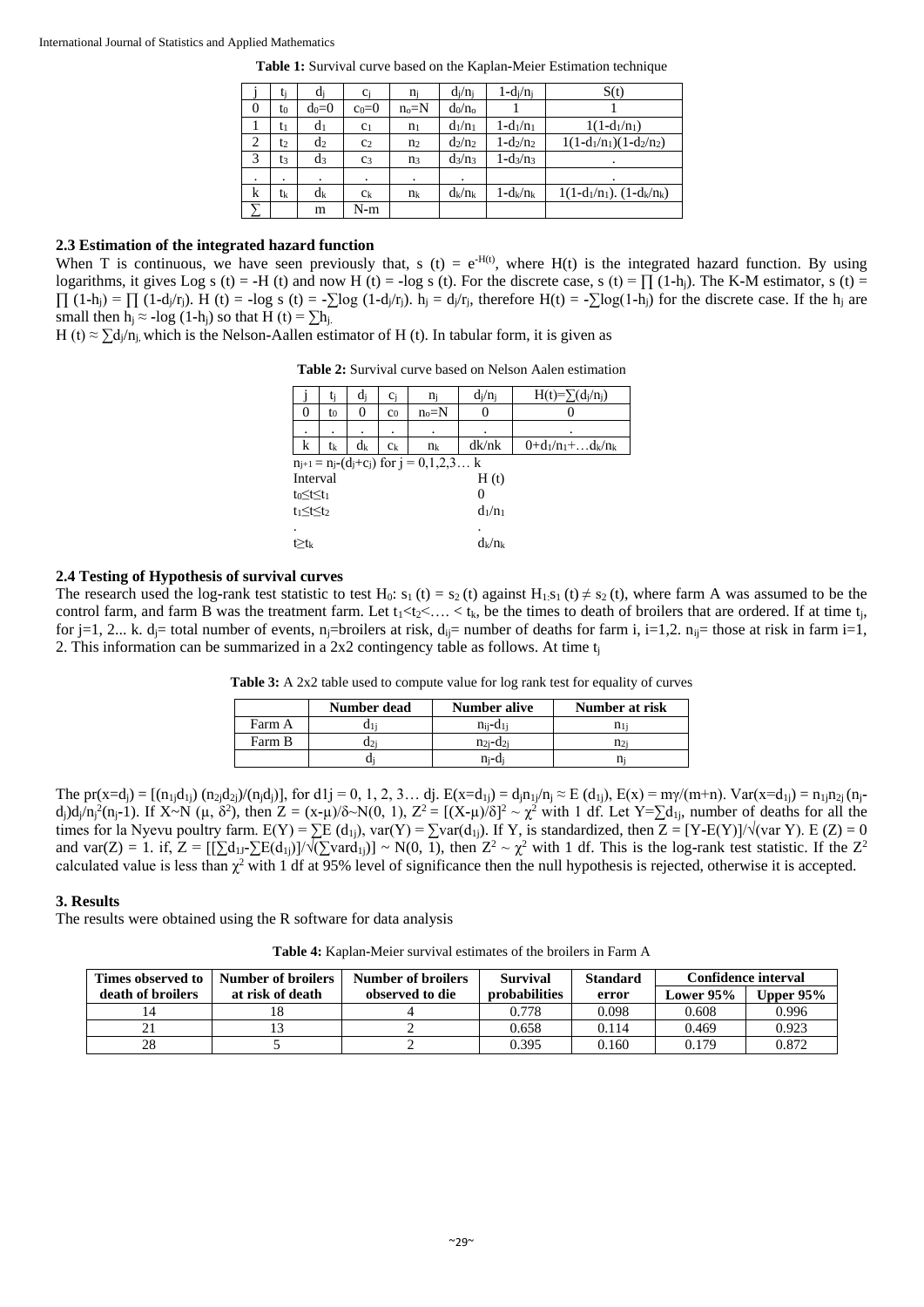#### International Journal of Statistics and Applied Mathematics

**Table 1:** Survival curve based on the Kaplan**-**Meier Estimation technique

|                | ti             | di      | $c_i$          | ni             | $d_i/n_i$ | $1-d_i/n_i$   | S(t)                           |
|----------------|----------------|---------|----------------|----------------|-----------|---------------|--------------------------------|
| $\overline{0}$ | t0             | $d_0=0$ | $c_0=0$        | $n_0=N$        | $d_0/n_0$ |               |                                |
|                | t1             | $d_1$   | c <sub>1</sub> | n <sub>1</sub> | $d_1/n_1$ | $1 - d_1/n_1$ | $1(1-d_1/n_1)$                 |
| 2              | t2             | $d_2$   | C <sub>2</sub> | n <sub>2</sub> | $d_2/n_2$ | $1 - d_2/n_2$ | $1(1-d_1/n_1)(1-d_2/n_2)$      |
| 3              | t3             | $d_3$   | C <sub>3</sub> | n <sub>3</sub> | $d_3/n_3$ | $1 - d_3/n_3$ |                                |
| ٠              | ٠              |         | $\cdot$        | ۰              |           |               | ٠                              |
| k              | t <sub>k</sub> | $d_k$   | $c_{k}$        | $n_{k}$        | $d_k/n_k$ | $1-d_k/n_k$   | $1(1-d_1/n_1)$ . $(1-d_k/n_k)$ |
|                |                | m       | N-m            |                |           |               |                                |

### **2.3 Estimation of the integrated hazard function**

When T is continuous, we have seen previously that, s (t) =  $e^{H(t)}$ , where H(t) is the integrated hazard function. By using logarithms, it gives Log s (t) = **-H** (t) and now H (t) = **-**log s (t). For the discrete case, s (t) =  $\prod (1-h_i)$ . The K-M estimator, s (t) = ∏ (1**-**hj) = ∏ (1**-**dj/rj). H (t) = **-**log s (t) = **-**∑log (1**-**dj/rj). h<sup>j</sup> = dj/rj, therefore H(t) = **-**∑log(1**-**hj) for the discrete case. If the h<sup>j</sup> are small then h<sub>i</sub>  $\approx$  **-**log (1**-**h<sub>i</sub>) so that H (t) =  $\sum h_i$ .

H (t)  $\approx \sum d_i/n_i$ , which is the Nelson-Aallen estimator of H (t). In tabular form, it is given as

**Table 2:** Survival curve based on Nelson Aalen estimation

|                                                      | Ui | αi | $c_i$          | ni      | $d_i/n_i$ | $H(t)=\sum (d_i/n_i)$      |  |  |  |
|------------------------------------------------------|----|----|----------------|---------|-----------|----------------------------|--|--|--|
|                                                      | to | 0  | C <sub>0</sub> | $n_0=N$ |           |                            |  |  |  |
|                                                      |    |    |                |         |           |                            |  |  |  |
| $\bf k$                                              | tk | dĸ | $c_{k}$        | $n_{k}$ | dk/nk     | $0+d_1/n_1+\ldots d_k/n_k$ |  |  |  |
| $n_{j+1} = n_j - (d_j + c_j)$ for $j = 0, 1, 2, 3$ k |    |    |                |         |           |                            |  |  |  |
| Interval                                             |    |    |                |         | H(t)      |                            |  |  |  |
| $t_0 \leq t \leq t_1$                                |    |    |                |         | 0         |                            |  |  |  |
| $t_1 \leq t \leq t_2$                                |    |    |                |         | $d_1/n_1$ |                            |  |  |  |
|                                                      |    |    |                |         |           |                            |  |  |  |
| $t \geq t_k$                                         |    |    |                |         | $d_k/n_k$ |                            |  |  |  |
|                                                      |    |    |                |         |           |                            |  |  |  |

#### **2.4 Testing of Hypothesis of survival curves**

The research used the log-rank test statistic to test H<sub>0</sub>: s<sub>1</sub> (t) = s<sub>2</sub> (t) against H<sub>1:</sub>s<sub>1</sub> (t)  $\neq$  s<sub>2</sub> (t), where farm A was assumed to be the control farm, and farm B was the treatment farm. Let  $t_1 < t_2 < \ldots < t_k$ , be the times to death of broilers that are ordered. If at time  $t_i$ , for j=1, 2... k. d<sub>i</sub>= total number of events, n<sub>j</sub>=broilers at risk, d<sub>ij</sub>= number of deaths for farm i, i=1,2. n<sub>ij</sub>= those at risk in farm i=1, 2. This information can be summarized in a 2x2 contingency table as follows. At time  $t_i$ 

**Table 3:** A 2x2 table used to compute value for log rank test for equality of curves

|        | Number dead | <b>Number alive</b>       | Number at risk |
|--------|-------------|---------------------------|----------------|
| Farm A |             | na-c                      |                |
| Farm B | u2          | $n_{2i}$ -d <sub>2i</sub> | n2i            |
|        |             | n--d                      |                |

The pr(x=d<sub>j</sub>) = [(n<sub>1j</sub>d<sub>1j</sub>) (n<sub>2j</sub>d<sub>2j</sub>)/(n<sub>j</sub>d<sub>j</sub>)], for d1j = 0, 1, 2, 3… dj. E(x=d<sub>1j</sub>) = d<sub>j</sub>n<sub>1j</sub>/n<sub>j</sub> ≈ E (d<sub>1j</sub>), E(x) = mγ/(m+n). Var(x=d<sub>1j</sub>) = n<sub>1j</sub>n<sub>2j</sub> (n<sub>j</sub> $d_j$ ) $d_j/n_j^2(n_j-1)$ . If  $X \sim N$  ( $\mu$ ,  $\delta^2$ ), then  $Z = (x-\mu)/\delta \sim N(0, 1)$ ,  $Z^2 = [(X-\mu)/\delta]^2 \sim \chi^2$  with 1 df. Let  $Y = \sum d_{1j}$ , number of deaths for all the times for la Nyevu poultry farm.  $E(Y) = \sum E(d_{1j})$ , var(Y) =  $\sum \text{var}(d_{1j})$ . If Y, is standardized, then  $Z = [Y-E(Y)]/\sqrt{(var Y)}$ . E (Z) = 0 and var(Z) = 1. if,  $Z = [[\sum d_{1J} \sum E(d_{1J})]/\sqrt{(\sum \text{vard}_{1J})}] \sim N(0, 1)$ , then  $Z^2 \sim \chi^2$  with 1 df. This is the log-rank test statistic. If the  $Z^2$ calculated value is less than  $\chi^2$  with 1 df at 95% level of significance then the null hypothesis is rejected, otherwise it is accepted.

#### **3. Results**

The results were obtained using the R software for data analysis

**Table 4:** Kaplan**-**Meier survival estimates of the broilers in Farm A

| Number of broilers<br>Times observed to |                  | Number of broilers | <b>Survival</b>      | <b>Standard</b> | Confidence interval |             |
|-----------------------------------------|------------------|--------------------|----------------------|-----------------|---------------------|-------------|
| death of broilers                       | at risk of death | observed to die    | <b>probabilities</b> | error           | Lower 95%           | Upper $95%$ |
|                                         |                  |                    | 0.778                | 0.098           | 0.608               | 0.996       |
|                                         |                  |                    | 0.658                | 0.114           | 0.469               | 0.923       |
| 28                                      |                  |                    | 0.395                | 0.160           | 0.179               | 0.872       |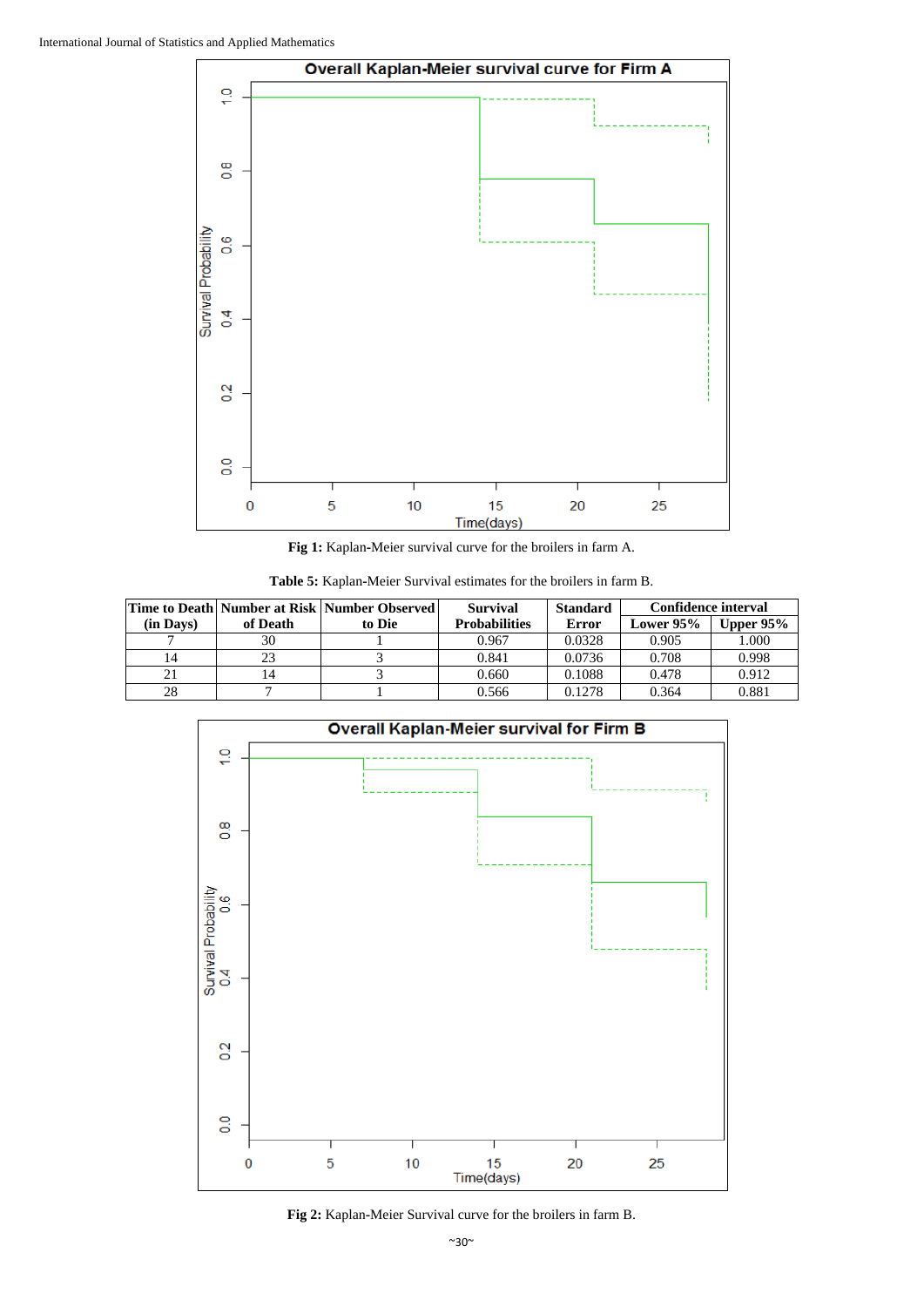

**Fig 1:** Kaplan**-**Meier survival curve for the broilers in farm A.

| Time to Death Number at Risk Number Observed |          |        | <b>Survival</b>      | <b>Standard</b> | <b>Confidence interval</b> |           |
|----------------------------------------------|----------|--------|----------------------|-----------------|----------------------------|-----------|
| (in Days)                                    | of Death | to Die | <b>Probabilities</b> | Error           | <b>Lower 95%</b>           | Upper 95% |
|                                              | 30       |        | 0.967                | 0.0328          | 0.905                      | 1.000     |
| 14                                           | 23       |        | 0.841                | 0.0736          | 0.708                      | 0.998     |
|                                              |          |        | 0.660                | 0.1088          | 0.478                      | 0.912     |
| 28                                           |          |        | 0.566                | 0.1278          | 0.364                      | 0.881     |



**Fig 2:** Kaplan**-**Meier Survival curve for the broilers in farm B.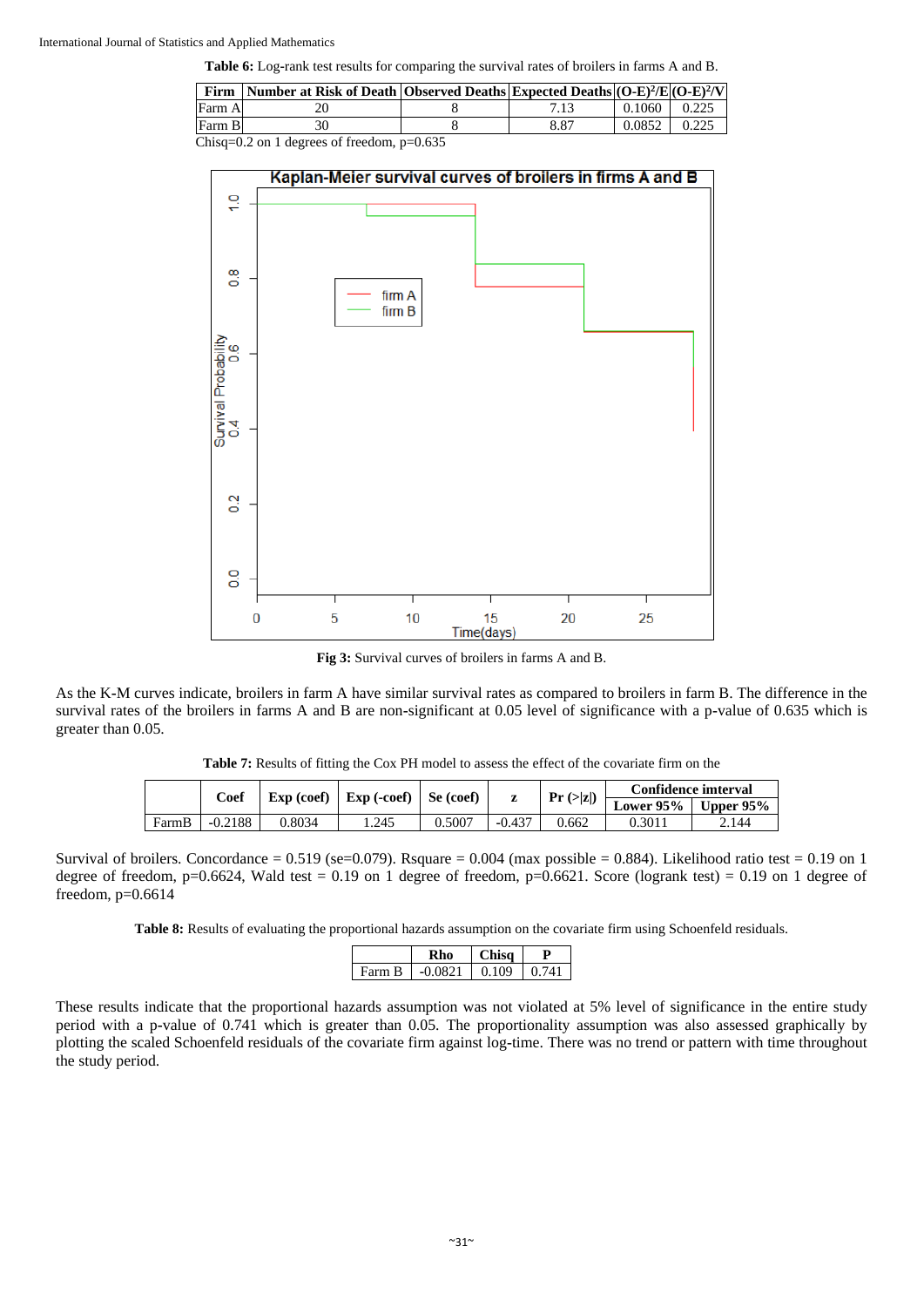**Table 6:** Log**-**rank test results for comparing the survival rates of broilers in farms A and B.

| Firm   | Number at Risk of Death Observed Deaths Expected Deaths $(O-E)^2/E(O-E)^2/V$       |      |                     |       |
|--------|------------------------------------------------------------------------------------|------|---------------------|-------|
| Farm A |                                                                                    |      | $0.1060 \div 0.225$ |       |
| Farm B |                                                                                    | 8.87 | 0.0852              | 0.225 |
|        | $C1: \ldots \cdot 0.2 \ldots 1.1 \ldots \ldots \cdot C$ for $1 \ldots \cdot 0.625$ |      |                     |       |

Chisq=0.2 on 1 degrees of freedom, p=0.635



**Fig 3:** Survival curves of broilers in farms A and B.

As the K**-**M curves indicate, broilers in farm A have similar survival rates as compared to broilers in farm B. The difference in the survival rates of the broilers in farms A and B are non**-**significant at 0.05 level of significance with a p**-**value of 0.635 which is greater than 0.05.

**Table 7:** Results of fitting the Cox PH model to assess the effect of the covariate firm on the

|       | Coef      | Exp (coef) | $\hat{ }$   Exp (-coef)   . | Se (coef) |          | Pr(z z ) | Confidence imterval         |       |
|-------|-----------|------------|-----------------------------|-----------|----------|----------|-----------------------------|-------|
|       |           |            |                             |           |          |          | Lower $95\%$   Upper $95\%$ |       |
| FarmB | $-0.2188$ | 0.8034     | 1.245                       | 0.5007    | $-0.437$ | 0.662    | 0.3011                      | 2.144 |

Survival of broilers. Concordance =  $0.519$  (se= $0.079$ ). Rsquare =  $0.004$  (max possible =  $0.884$ ). Likelihood ratio test =  $0.19$  on 1 degree of freedom,  $p=0.6624$ , Wald test = 0.19 on 1 degree of freedom,  $p=0.6621$ . Score (logrank test) = 0.19 on 1 degree of freedom, p=0.6614

**Table 8:** Results of evaluating the proportional hazards assumption on the covariate firm using Schoenfeld residuals.

|        | ۱n        | 'hisa |  |
|--------|-----------|-------|--|
| Farm B | $-0.0821$ | 0.109 |  |

These results indicate that the proportional hazards assumption was not violated at 5% level of significance in the entire study period with a p**-**value of 0.741 which is greater than 0.05. The proportionality assumption was also assessed graphically by plotting the scaled Schoenfeld residuals of the covariate firm against log**-**time. There was no trend or pattern with time throughout the study period.